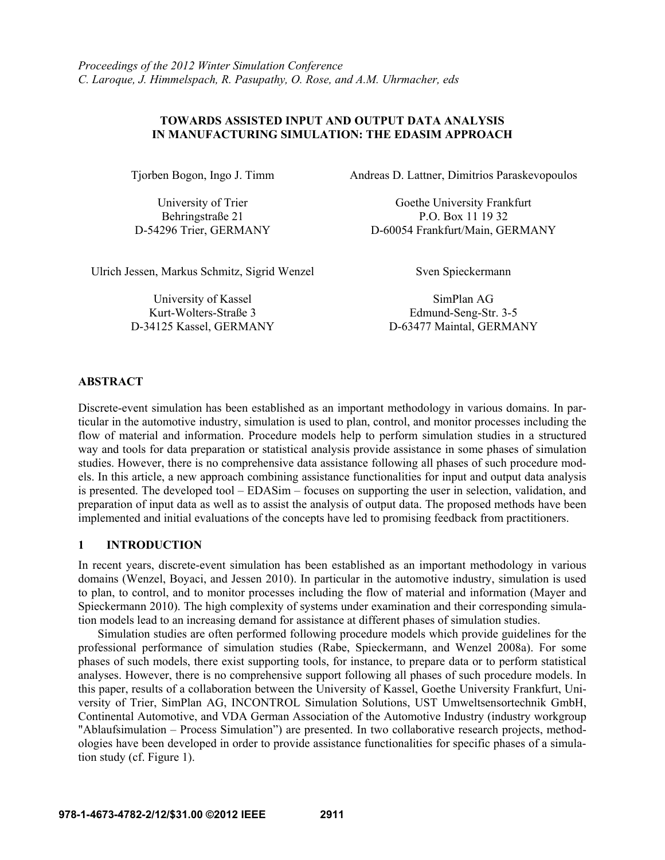# **TOWARDS ASSISTED INPUT AND OUTPUT DATA ANALYSIS IN MANUFACTURING SIMULATION: THE EDASIM APPROACH**

Ulrich Jessen, Markus Schmitz, Sigrid Wenzel Sven Spieckermann

University of Kassel SimPlan AG

Tjorben Bogon, Ingo J. Timm Andreas D. Lattner, Dimitrios Paraskevopoulos

University of Trier Goethe University Frankfurt Behringstraße 21 P.O. Box 11 19 32 D-54296 Trier, GERMANY D-60054 Frankfurt/Main, GERMANY

Kurt-Wolters-Straße 3 Edmund-Seng-Str. 3-5 D-34125 Kassel, GERMANY D-63477 Maintal, GERMANY

#### **ABSTRACT**

Discrete-event simulation has been established as an important methodology in various domains. In particular in the automotive industry, simulation is used to plan, control, and monitor processes including the flow of material and information. Procedure models help to perform simulation studies in a structured way and tools for data preparation or statistical analysis provide assistance in some phases of simulation studies. However, there is no comprehensive data assistance following all phases of such procedure models. In this article, a new approach combining assistance functionalities for input and output data analysis is presented. The developed tool – EDASim – focuses on supporting the user in selection, validation, and preparation of input data as well as to assist the analysis of output data. The proposed methods have been implemented and initial evaluations of the concepts have led to promising feedback from practitioners.

# **1 INTRODUCTION**

In recent years, discrete-event simulation has been established as an important methodology in various domains (Wenzel, Boyaci, and Jessen 2010). In particular in the automotive industry, simulation is used to plan, to control, and to monitor processes including the flow of material and information (Mayer and Spieckermann 2010). The high complexity of systems under examination and their corresponding simulation models lead to an increasing demand for assistance at different phases of simulation studies.

Simulation studies are often performed following procedure models which provide guidelines for the professional performance of simulation studies (Rabe, Spieckermann, and Wenzel 2008a). For some phases of such models, there exist supporting tools, for instance, to prepare data or to perform statistical analyses. However, there is no comprehensive support following all phases of such procedure models. In this paper, results of a collaboration between the University of Kassel, Goethe University Frankfurt, University of Trier, SimPlan AG, INCONTROL Simulation Solutions, UST Umweltsensortechnik GmbH, Continental Automotive, and VDA German Association of the Automotive Industry (industry workgroup "Ablaufsimulation – Process Simulation") are presented. In two collaborative research projects, methodologies have been developed in order to provide assistance functionalities for specific phases of a simulation study (cf. Figure 1).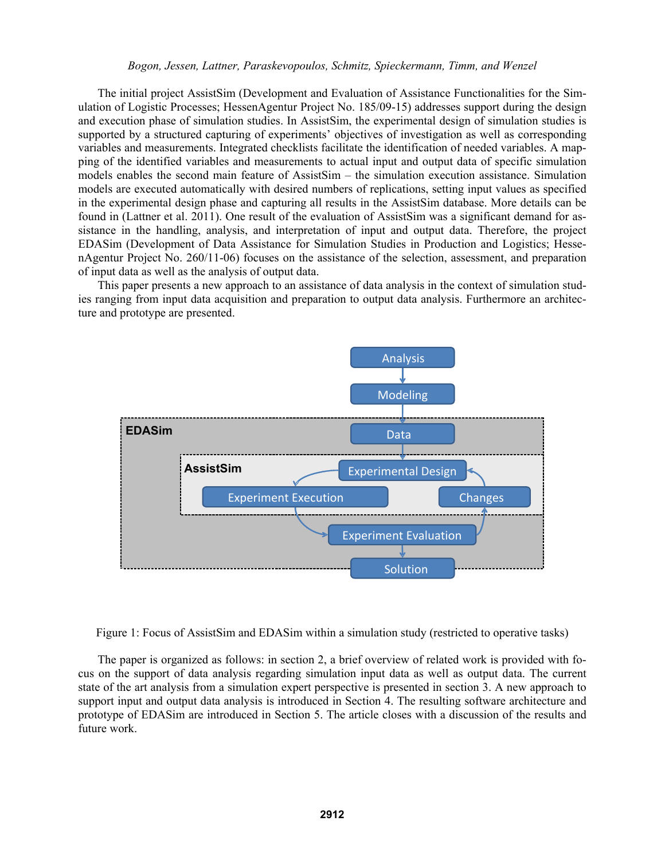The initial project AssistSim (Development and Evaluation of Assistance Functionalities for the Simulation of Logistic Processes; HessenAgentur Project No. 185/09-15) addresses support during the design and execution phase of simulation studies. In AssistSim, the experimental design of simulation studies is supported by a structured capturing of experiments' objectives of investigation as well as corresponding variables and measurements. Integrated checklists facilitate the identification of needed variables. A mapping of the identified variables and measurements to actual input and output data of specific simulation models enables the second main feature of AssistSim – the simulation execution assistance. Simulation models are executed automatically with desired numbers of replications, setting input values as specified in the experimental design phase and capturing all results in the AssistSim database. More details can be found in (Lattner et al. 2011). One result of the evaluation of AssistSim was a significant demand for assistance in the handling, analysis, and interpretation of input and output data. Therefore, the project EDASim (Development of Data Assistance for Simulation Studies in Production and Logistics; HessenAgentur Project No. 260/11-06) focuses on the assistance of the selection, assessment, and preparation of input data as well as the analysis of output data.

This paper presents a new approach to an assistance of data analysis in the context of simulation studies ranging from input data acquisition and preparation to output data analysis. Furthermore an architecture and prototype are presented.



Figure 1: Focus of AssistSim and EDASim within a simulation study (restricted to operative tasks)

The paper is organized as follows: in section 2, a brief overview of related work is provided with focus on the support of data analysis regarding simulation input data as well as output data. The current state of the art analysis from a simulation expert perspective is presented in section 3. A new approach to support input and output data analysis is introduced in Section 4. The resulting software architecture and prototype of EDASim are introduced in Section 5. The article closes with a discussion of the results and future work.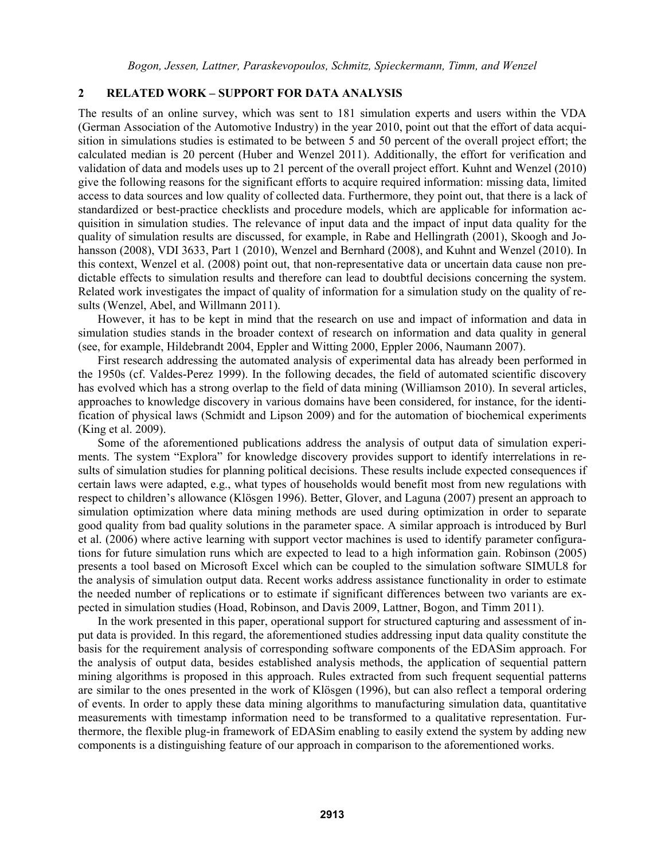# **2 RELATED WORK – SUPPORT FOR DATA ANALYSIS**

The results of an online survey, which was sent to 181 simulation experts and users within the VDA (German Association of the Automotive Industry) in the year 2010, point out that the effort of data acquisition in simulations studies is estimated to be between 5 and 50 percent of the overall project effort; the calculated median is 20 percent (Huber and Wenzel 2011). Additionally, the effort for verification and validation of data and models uses up to 21 percent of the overall project effort. Kuhnt and Wenzel (2010) give the following reasons for the significant efforts to acquire required information: missing data, limited access to data sources and low quality of collected data. Furthermore, they point out, that there is a lack of standardized or best-practice checklists and procedure models, which are applicable for information acquisition in simulation studies. The relevance of input data and the impact of input data quality for the quality of simulation results are discussed, for example, in Rabe and Hellingrath (2001), Skoogh and Johansson (2008), VDI 3633, Part 1 (2010), Wenzel and Bernhard (2008), and Kuhnt and Wenzel (2010). In this context, Wenzel et al. (2008) point out, that non-representative data or uncertain data cause non predictable effects to simulation results and therefore can lead to doubtful decisions concerning the system. Related work investigates the impact of quality of information for a simulation study on the quality of results (Wenzel, Abel, and Willmann 2011).

However, it has to be kept in mind that the research on use and impact of information and data in simulation studies stands in the broader context of research on information and data quality in general (see, for example, Hildebrandt 2004, Eppler and Witting 2000, Eppler 2006, Naumann 2007).

First research addressing the automated analysis of experimental data has already been performed in the 1950s (cf. Valdes-Perez 1999). In the following decades, the field of automated scientific discovery has evolved which has a strong overlap to the field of data mining (Williamson 2010). In several articles, approaches to knowledge discovery in various domains have been considered, for instance, for the identification of physical laws (Schmidt and Lipson 2009) and for the automation of biochemical experiments (King et al. 2009).

Some of the aforementioned publications address the analysis of output data of simulation experiments. The system "Explora" for knowledge discovery provides support to identify interrelations in results of simulation studies for planning political decisions. These results include expected consequences if certain laws were adapted, e.g., what types of households would benefit most from new regulations with respect to children's allowance (Klösgen 1996). Better, Glover, and Laguna (2007) present an approach to simulation optimization where data mining methods are used during optimization in order to separate good quality from bad quality solutions in the parameter space. A similar approach is introduced by Burl et al. (2006) where active learning with support vector machines is used to identify parameter configurations for future simulation runs which are expected to lead to a high information gain. Robinson (2005) presents a tool based on Microsoft Excel which can be coupled to the simulation software SIMUL8 for the analysis of simulation output data. Recent works address assistance functionality in order to estimate the needed number of replications or to estimate if significant differences between two variants are expected in simulation studies (Hoad, Robinson, and Davis 2009, Lattner, Bogon, and Timm 2011).

In the work presented in this paper, operational support for structured capturing and assessment of input data is provided. In this regard, the aforementioned studies addressing input data quality constitute the basis for the requirement analysis of corresponding software components of the EDASim approach. For the analysis of output data, besides established analysis methods, the application of sequential pattern mining algorithms is proposed in this approach. Rules extracted from such frequent sequential patterns are similar to the ones presented in the work of Klösgen (1996), but can also reflect a temporal ordering of events. In order to apply these data mining algorithms to manufacturing simulation data, quantitative measurements with timestamp information need to be transformed to a qualitative representation. Furthermore, the flexible plug-in framework of EDASim enabling to easily extend the system by adding new components is a distinguishing feature of our approach in comparison to the aforementioned works.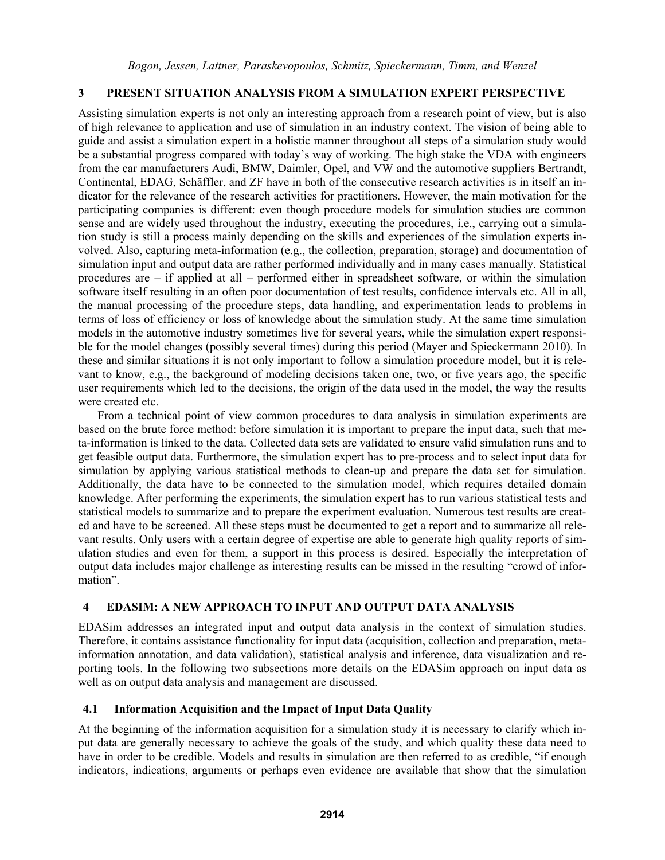# **3 PRESENT SITUATION ANALYSIS FROM A SIMULATION EXPERT PERSPECTIVE**

Assisting simulation experts is not only an interesting approach from a research point of view, but is also of high relevance to application and use of simulation in an industry context. The vision of being able to guide and assist a simulation expert in a holistic manner throughout all steps of a simulation study would be a substantial progress compared with today's way of working. The high stake the VDA with engineers from the car manufacturers Audi, BMW, Daimler, Opel, and VW and the automotive suppliers Bertrandt, Continental, EDAG, Schäffler, and ZF have in both of the consecutive research activities is in itself an indicator for the relevance of the research activities for practitioners. However, the main motivation for the participating companies is different: even though procedure models for simulation studies are common sense and are widely used throughout the industry, executing the procedures, i.e., carrying out a simulation study is still a process mainly depending on the skills and experiences of the simulation experts involved. Also, capturing meta-information (e.g., the collection, preparation, storage) and documentation of simulation input and output data are rather performed individually and in many cases manually. Statistical procedures are – if applied at all – performed either in spreadsheet software, or within the simulation software itself resulting in an often poor documentation of test results, confidence intervals etc. All in all, the manual processing of the procedure steps, data handling, and experimentation leads to problems in terms of loss of efficiency or loss of knowledge about the simulation study. At the same time simulation models in the automotive industry sometimes live for several years, while the simulation expert responsible for the model changes (possibly several times) during this period (Mayer and Spieckermann 2010). In these and similar situations it is not only important to follow a simulation procedure model, but it is relevant to know, e.g., the background of modeling decisions taken one, two, or five years ago, the specific user requirements which led to the decisions, the origin of the data used in the model, the way the results were created etc.

From a technical point of view common procedures to data analysis in simulation experiments are based on the brute force method: before simulation it is important to prepare the input data, such that meta-information is linked to the data. Collected data sets are validated to ensure valid simulation runs and to get feasible output data. Furthermore, the simulation expert has to pre-process and to select input data for simulation by applying various statistical methods to clean-up and prepare the data set for simulation. Additionally, the data have to be connected to the simulation model, which requires detailed domain knowledge. After performing the experiments, the simulation expert has to run various statistical tests and statistical models to summarize and to prepare the experiment evaluation. Numerous test results are created and have to be screened. All these steps must be documented to get a report and to summarize all relevant results. Only users with a certain degree of expertise are able to generate high quality reports of simulation studies and even for them, a support in this process is desired. Especially the interpretation of output data includes major challenge as interesting results can be missed in the resulting "crowd of information".

# **4 EDASIM: A NEW APPROACH TO INPUT AND OUTPUT DATA ANALYSIS**

EDASim addresses an integrated input and output data analysis in the context of simulation studies. Therefore, it contains assistance functionality for input data (acquisition, collection and preparation, metainformation annotation, and data validation), statistical analysis and inference, data visualization and reporting tools. In the following two subsections more details on the EDASim approach on input data as well as on output data analysis and management are discussed.

# **4.1 Information Acquisition and the Impact of Input Data Quality**

At the beginning of the information acquisition for a simulation study it is necessary to clarify which input data are generally necessary to achieve the goals of the study, and which quality these data need to have in order to be credible. Models and results in simulation are then referred to as credible, "if enough indicators, indications, arguments or perhaps even evidence are available that show that the simulation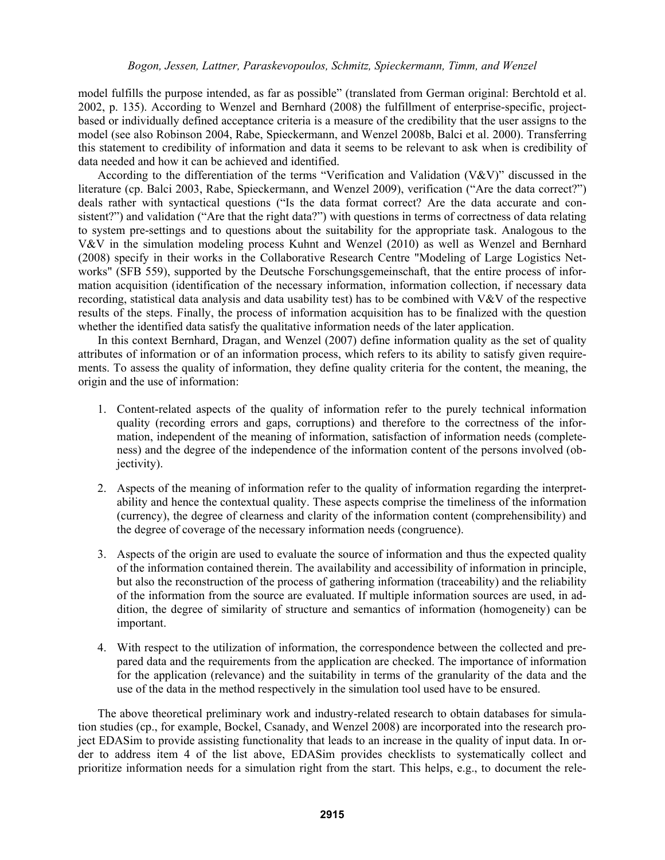model fulfills the purpose intended, as far as possible" (translated from German original: Berchtold et al. 2002, p. 135). According to Wenzel and Bernhard (2008) the fulfillment of enterprise-specific, projectbased or individually defined acceptance criteria is a measure of the credibility that the user assigns to the model (see also Robinson 2004, Rabe, Spieckermann, and Wenzel 2008b, Balci et al. 2000). Transferring this statement to credibility of information and data it seems to be relevant to ask when is credibility of data needed and how it can be achieved and identified.

According to the differentiation of the terms "Verification and Validation (V&V)" discussed in the literature (cp. Balci 2003, Rabe, Spieckermann, and Wenzel 2009), verification ("Are the data correct?") deals rather with syntactical questions ("Is the data format correct? Are the data accurate and consistent?") and validation ("Are that the right data?") with questions in terms of correctness of data relating to system pre-settings and to questions about the suitability for the appropriate task. Analogous to the V&V in the simulation modeling process Kuhnt and Wenzel (2010) as well as Wenzel and Bernhard (2008) specify in their works in the Collaborative Research Centre "Modeling of Large Logistics Networks" (SFB 559), supported by the Deutsche Forschungsgemeinschaft, that the entire process of information acquisition (identification of the necessary information, information collection, if necessary data recording, statistical data analysis and data usability test) has to be combined with V&V of the respective results of the steps. Finally, the process of information acquisition has to be finalized with the question whether the identified data satisfy the qualitative information needs of the later application.

In this context Bernhard, Dragan, and Wenzel (2007) define information quality as the set of quality attributes of information or of an information process, which refers to its ability to satisfy given requirements. To assess the quality of information, they define quality criteria for the content, the meaning, the origin and the use of information:

- 1. Content-related aspects of the quality of information refer to the purely technical information quality (recording errors and gaps, corruptions) and therefore to the correctness of the information, independent of the meaning of information, satisfaction of information needs (completeness) and the degree of the independence of the information content of the persons involved (objectivity).
- 2. Aspects of the meaning of information refer to the quality of information regarding the interpretability and hence the contextual quality. These aspects comprise the timeliness of the information (currency), the degree of clearness and clarity of the information content (comprehensibility) and the degree of coverage of the necessary information needs (congruence).
- 3. Aspects of the origin are used to evaluate the source of information and thus the expected quality of the information contained therein. The availability and accessibility of information in principle, but also the reconstruction of the process of gathering information (traceability) and the reliability of the information from the source are evaluated. If multiple information sources are used, in addition, the degree of similarity of structure and semantics of information (homogeneity) can be important.
- 4. With respect to the utilization of information, the correspondence between the collected and prepared data and the requirements from the application are checked. The importance of information for the application (relevance) and the suitability in terms of the granularity of the data and the use of the data in the method respectively in the simulation tool used have to be ensured.

The above theoretical preliminary work and industry-related research to obtain databases for simulation studies (cp., for example, Bockel, Csanady, and Wenzel 2008) are incorporated into the research project EDASim to provide assisting functionality that leads to an increase in the quality of input data. In order to address item 4 of the list above, EDASim provides checklists to systematically collect and prioritize information needs for a simulation right from the start. This helps, e.g., to document the rele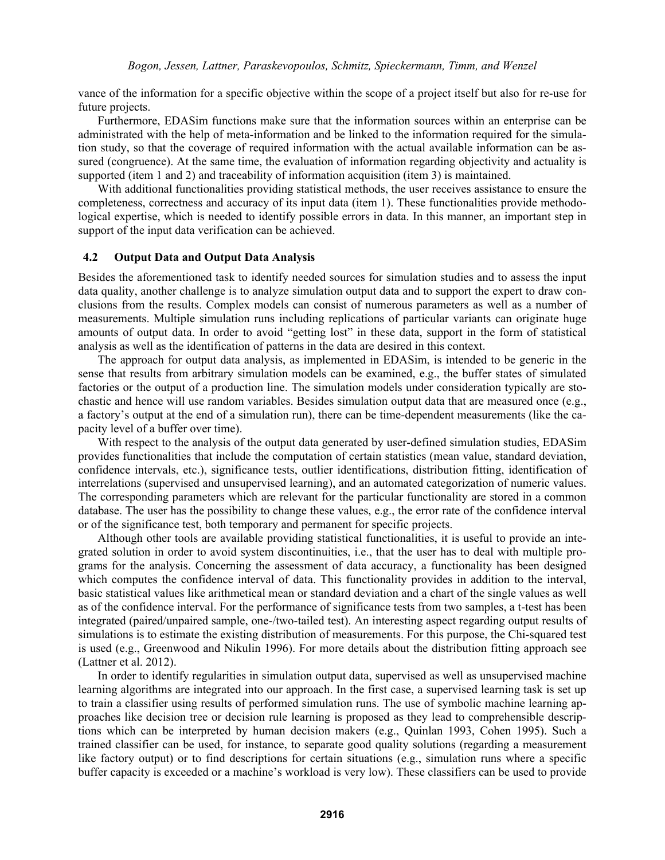vance of the information for a specific objective within the scope of a project itself but also for re-use for future projects.

Furthermore, EDASim functions make sure that the information sources within an enterprise can be administrated with the help of meta-information and be linked to the information required for the simulation study, so that the coverage of required information with the actual available information can be assured (congruence). At the same time, the evaluation of information regarding objectivity and actuality is supported (item 1 and 2) and traceability of information acquisition (item 3) is maintained.

With additional functionalities providing statistical methods, the user receives assistance to ensure the completeness, correctness and accuracy of its input data (item 1). These functionalities provide methodological expertise, which is needed to identify possible errors in data. In this manner, an important step in support of the input data verification can be achieved.

### **4.2 Output Data and Output Data Analysis**

Besides the aforementioned task to identify needed sources for simulation studies and to assess the input data quality, another challenge is to analyze simulation output data and to support the expert to draw conclusions from the results. Complex models can consist of numerous parameters as well as a number of measurements. Multiple simulation runs including replications of particular variants can originate huge amounts of output data. In order to avoid "getting lost" in these data, support in the form of statistical analysis as well as the identification of patterns in the data are desired in this context.

The approach for output data analysis, as implemented in EDASim, is intended to be generic in the sense that results from arbitrary simulation models can be examined, e.g., the buffer states of simulated factories or the output of a production line. The simulation models under consideration typically are stochastic and hence will use random variables. Besides simulation output data that are measured once (e.g., a factory's output at the end of a simulation run), there can be time-dependent measurements (like the capacity level of a buffer over time).

With respect to the analysis of the output data generated by user-defined simulation studies, EDASim provides functionalities that include the computation of certain statistics (mean value, standard deviation, confidence intervals, etc.), significance tests, outlier identifications, distribution fitting, identification of interrelations (supervised and unsupervised learning), and an automated categorization of numeric values. The corresponding parameters which are relevant for the particular functionality are stored in a common database. The user has the possibility to change these values, e.g., the error rate of the confidence interval or of the significance test, both temporary and permanent for specific projects.

Although other tools are available providing statistical functionalities, it is useful to provide an integrated solution in order to avoid system discontinuities, i.e., that the user has to deal with multiple programs for the analysis. Concerning the assessment of data accuracy, a functionality has been designed which computes the confidence interval of data. This functionality provides in addition to the interval, basic statistical values like arithmetical mean or standard deviation and a chart of the single values as well as of the confidence interval. For the performance of significance tests from two samples, a t-test has been integrated (paired/unpaired sample, one-/two-tailed test). An interesting aspect regarding output results of simulations is to estimate the existing distribution of measurements. For this purpose, the Chi-squared test is used (e.g., Greenwood and Nikulin 1996). For more details about the distribution fitting approach see (Lattner et al. 2012).

In order to identify regularities in simulation output data, supervised as well as unsupervised machine learning algorithms are integrated into our approach. In the first case, a supervised learning task is set up to train a classifier using results of performed simulation runs. The use of symbolic machine learning approaches like decision tree or decision rule learning is proposed as they lead to comprehensible descriptions which can be interpreted by human decision makers (e.g., Quinlan 1993, Cohen 1995). Such a trained classifier can be used, for instance, to separate good quality solutions (regarding a measurement like factory output) or to find descriptions for certain situations (e.g., simulation runs where a specific buffer capacity is exceeded or a machine's workload is very low). These classifiers can be used to provide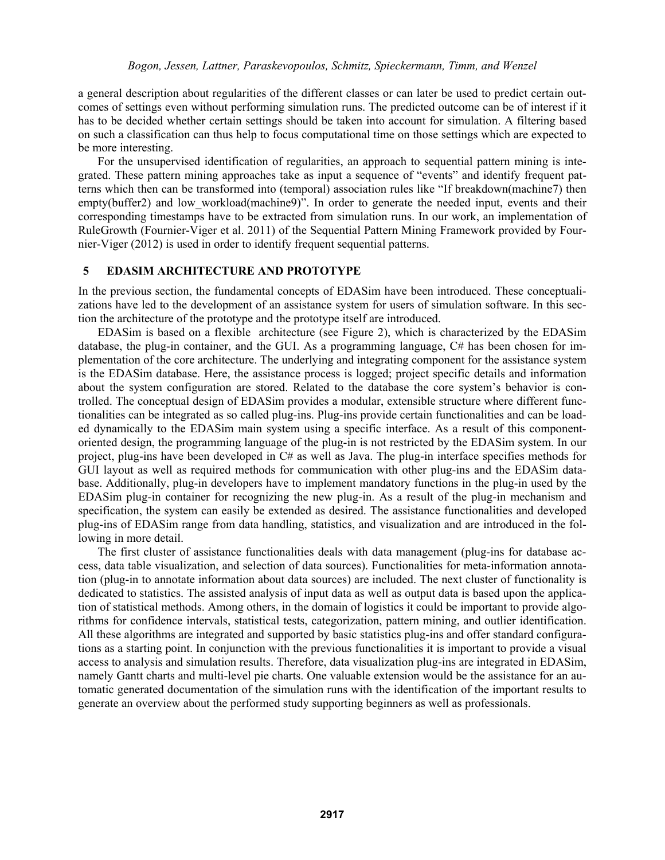a general description about regularities of the different classes or can later be used to predict certain outcomes of settings even without performing simulation runs. The predicted outcome can be of interest if it has to be decided whether certain settings should be taken into account for simulation. A filtering based on such a classification can thus help to focus computational time on those settings which are expected to be more interesting.

For the unsupervised identification of regularities, an approach to sequential pattern mining is integrated. These pattern mining approaches take as input a sequence of "events" and identify frequent patterns which then can be transformed into (temporal) association rules like "If breakdown(machine7) then empty(buffer2) and low workload(machine9)". In order to generate the needed input, events and their corresponding timestamps have to be extracted from simulation runs. In our work, an implementation of RuleGrowth (Fournier-Viger et al. 2011) of the Sequential Pattern Mining Framework provided by Fournier-Viger (2012) is used in order to identify frequent sequential patterns.

# **5 EDASIM ARCHITECTURE AND PROTOTYPE**

In the previous section, the fundamental concepts of EDASim have been introduced. These conceptualizations have led to the development of an assistance system for users of simulation software. In this section the architecture of the prototype and the prototype itself are introduced.

EDASim is based on a flexible architecture (see Figure 2), which is characterized by the EDASim database, the plug-in container, and the GUI. As a programming language, C# has been chosen for implementation of the core architecture. The underlying and integrating component for the assistance system is the EDASim database. Here, the assistance process is logged; project specific details and information about the system configuration are stored. Related to the database the core system's behavior is controlled. The conceptual design of EDASim provides a modular, extensible structure where different functionalities can be integrated as so called plug-ins. Plug-ins provide certain functionalities and can be loaded dynamically to the EDASim main system using a specific interface. As a result of this componentoriented design, the programming language of the plug-in is not restricted by the EDASim system. In our project, plug-ins have been developed in C# as well as Java. The plug-in interface specifies methods for GUI layout as well as required methods for communication with other plug-ins and the EDASim database. Additionally, plug-in developers have to implement mandatory functions in the plug-in used by the EDASim plug-in container for recognizing the new plug-in. As a result of the plug-in mechanism and specification, the system can easily be extended as desired. The assistance functionalities and developed plug-ins of EDASim range from data handling, statistics, and visualization and are introduced in the following in more detail.

The first cluster of assistance functionalities deals with data management (plug-ins for database access, data table visualization, and selection of data sources). Functionalities for meta-information annotation (plug-in to annotate information about data sources) are included. The next cluster of functionality is dedicated to statistics. The assisted analysis of input data as well as output data is based upon the application of statistical methods. Among others, in the domain of logistics it could be important to provide algorithms for confidence intervals, statistical tests, categorization, pattern mining, and outlier identification. All these algorithms are integrated and supported by basic statistics plug-ins and offer standard configurations as a starting point. In conjunction with the previous functionalities it is important to provide a visual access to analysis and simulation results. Therefore, data visualization plug-ins are integrated in EDASim, namely Gantt charts and multi-level pie charts. One valuable extension would be the assistance for an automatic generated documentation of the simulation runs with the identification of the important results to generate an overview about the performed study supporting beginners as well as professionals.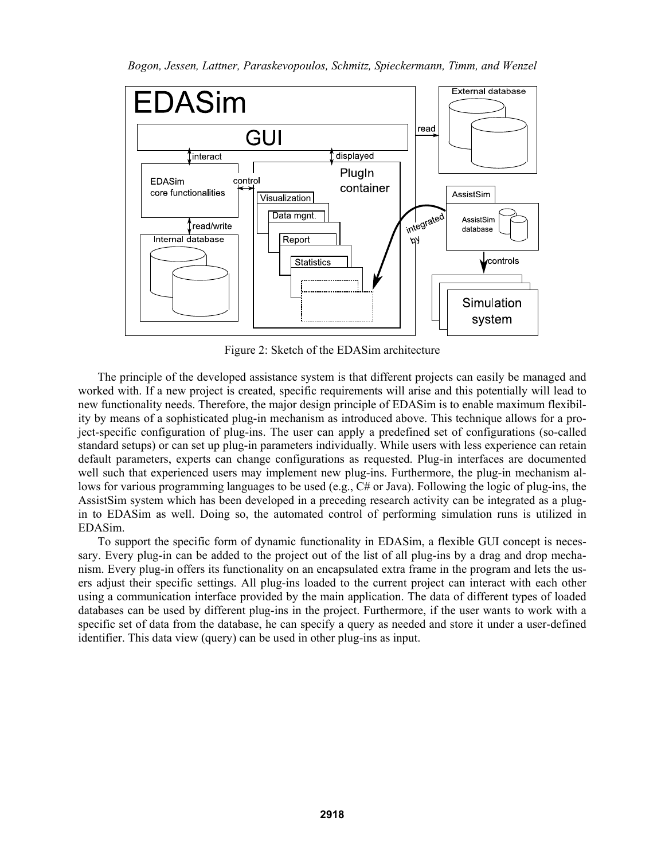*Bogon, Jessen, Lattner, Paraskevopoulos, Schmitz, Spieckermann, Timm, and Wenzel* 



Figure 2: Sketch of the EDASim architecture

The principle of the developed assistance system is that different projects can easily be managed and worked with. If a new project is created, specific requirements will arise and this potentially will lead to new functionality needs. Therefore, the major design principle of EDASim is to enable maximum flexibility by means of a sophisticated plug-in mechanism as introduced above. This technique allows for a project-specific configuration of plug-ins. The user can apply a predefined set of configurations (so-called standard setups) or can set up plug-in parameters individually. While users with less experience can retain default parameters, experts can change configurations as requested. Plug-in interfaces are documented well such that experienced users may implement new plug-ins. Furthermore, the plug-in mechanism allows for various programming languages to be used (e.g., C# or Java). Following the logic of plug-ins, the AssistSim system which has been developed in a preceding research activity can be integrated as a plugin to EDASim as well. Doing so, the automated control of performing simulation runs is utilized in EDASim.

To support the specific form of dynamic functionality in EDASim, a flexible GUI concept is necessary. Every plug-in can be added to the project out of the list of all plug-ins by a drag and drop mechanism. Every plug-in offers its functionality on an encapsulated extra frame in the program and lets the users adjust their specific settings. All plug-ins loaded to the current project can interact with each other using a communication interface provided by the main application. The data of different types of loaded databases can be used by different plug-ins in the project. Furthermore, if the user wants to work with a specific set of data from the database, he can specify a query as needed and store it under a user-defined identifier. This data view (query) can be used in other plug-ins as input.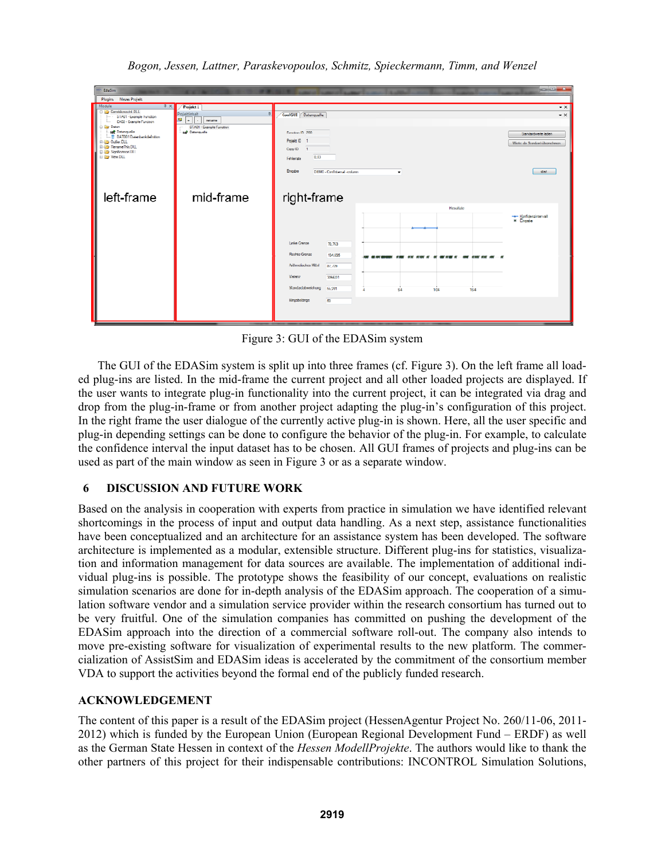

*Bogon, Jessen, Lattner, Paraskevopoulos, Schmitz, Spieckermann, Timm, and Wenzel* 

Figure 3: GUI of the EDASim system

The GUI of the EDASim system is split up into three frames (cf. Figure 3). On the left frame all loaded plug-ins are listed. In the mid-frame the current project and all other loaded projects are displayed. If the user wants to integrate plug-in functionality into the current project, it can be integrated via drag and drop from the plug-in-frame or from another project adapting the plug-in's configuration of this project. In the right frame the user dialogue of the currently active plug-in is shown. Here, all the user specific and plug-in depending settings can be done to configure the behavior of the plug-in. For example, to calculate the confidence interval the input dataset has to be chosen. All GUI frames of projects and plug-ins can be used as part of the main window as seen in Figure 3 or as a separate window.

# **6 DISCUSSION AND FUTURE WORK**

Based on the analysis in cooperation with experts from practice in simulation we have identified relevant shortcomings in the process of input and output data handling. As a next step, assistance functionalities have been conceptualized and an architecture for an assistance system has been developed. The software architecture is implemented as a modular, extensible structure. Different plug-ins for statistics, visualization and information management for data sources are available. The implementation of additional individual plug-ins is possible. The prototype shows the feasibility of our concept, evaluations on realistic simulation scenarios are done for in-depth analysis of the EDASim approach. The cooperation of a simulation software vendor and a simulation service provider within the research consortium has turned out to be very fruitful. One of the simulation companies has committed on pushing the development of the EDASim approach into the direction of a commercial software roll-out. The company also intends to move pre-existing software for visualization of experimental results to the new platform. The commercialization of AssistSim and EDASim ideas is accelerated by the commitment of the consortium member VDA to support the activities beyond the formal end of the publicly funded research.

# **ACKNOWLEDGEMENT**

The content of this paper is a result of the EDASim project (HessenAgentur Project No. 260/11-06, 2011- 2012) which is funded by the European Union (European Regional Development Fund – ERDF) as well as the German State Hessen in context of the *Hessen ModellProjekte*. The authors would like to thank the other partners of this project for their indispensable contributions: INCONTROL Simulation Solutions,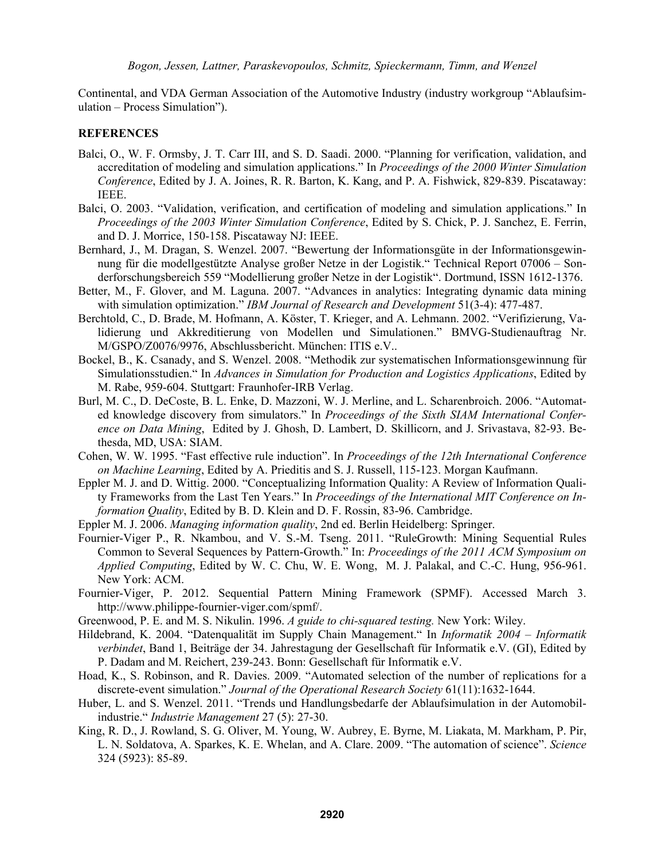Continental, and VDA German Association of the Automotive Industry (industry workgroup "Ablaufsimulation – Process Simulation").

# **REFERENCES**

- Balci, O., W. F. Ormsby, J. T. Carr III, and S. D. Saadi. 2000. "Planning for verification, validation, and accreditation of modeling and simulation applications." In *Proceedings of the 2000 Winter Simulation Conference*, Edited by J. A. Joines, R. R. Barton, K. Kang, and P. A. Fishwick, 829-839. Piscataway: IEEE.
- Balci, O. 2003. "Validation, verification, and certification of modeling and simulation applications." In *Proceedings of the 2003 Winter Simulation Conference*, Edited by S. Chick, P. J. Sanchez, E. Ferrin, and D. J. Morrice, 150-158. Piscataway NJ: IEEE.
- Bernhard, J., M. Dragan, S. Wenzel. 2007. "Bewertung der Informationsgüte in der Informationsgewinnung für die modellgestützte Analyse großer Netze in der Logistik." Technical Report 07006 – Sonderforschungsbereich 559 "Modellierung großer Netze in der Logistik". Dortmund, ISSN 1612-1376.
- Better, M., F. Glover, and M. Laguna. 2007. "Advances in analytics: Integrating dynamic data mining with simulation optimization." *IBM Journal of Research and Development* 51(3-4): 477-487.
- Berchtold, C., D. Brade, M. Hofmann, A. Köster, T. Krieger, and A. Lehmann. 2002. "Verifizierung, Validierung und Akkreditierung von Modellen und Simulationen." BMVG-Studienauftrag Nr. M/GSPO/Z0076/9976, Abschlussbericht. München: ITIS e.V..
- Bockel, B., K. Csanady, and S. Wenzel. 2008. "Methodik zur systematischen Informationsgewinnung für Simulationsstudien." In *Advances in Simulation for Production and Logistics Applications*, Edited by M. Rabe, 959-604. Stuttgart: Fraunhofer-IRB Verlag.
- Burl, M. C., D. DeCoste, B. L. Enke, D. Mazzoni, W. J. Merline, and L. Scharenbroich. 2006. "Automated knowledge discovery from simulators." In *Proceedings of the Sixth SIAM International Conference on Data Mining*, Edited by J. Ghosh, D. Lambert, D. Skillicorn, and J. Srivastava, 82-93. Bethesda, MD, USA: SIAM.
- Cohen, W. W. 1995. "Fast effective rule induction". In *Proceedings of the 12th International Conference on Machine Learning*, Edited by A. Prieditis and S. J. Russell, 115-123. Morgan Kaufmann.
- Eppler M. J. and D. Wittig. 2000. "Conceptualizing Information Quality: A Review of Information Quality Frameworks from the Last Ten Years." In *Proceedings of the International MIT Conference on Information Quality*, Edited by B. D. Klein and D. F. Rossin, 83-96. Cambridge.
- Eppler M. J. 2006. *Managing information quality*, 2nd ed. Berlin Heidelberg: Springer.
- Fournier-Viger P., R. Nkambou, and V. S.-M. Tseng. 2011. "RuleGrowth: Mining Sequential Rules Common to Several Sequences by Pattern-Growth." In: *Proceedings of the 2011 ACM Symposium on Applied Computing*, Edited by W. C. Chu, W. E. Wong, M. J. Palakal, and C.-C. Hung, 956-961. New York: ACM.
- Fournier-Viger, P. 2012. Sequential Pattern Mining Framework (SPMF). Accessed March 3. http://www.philippe-fournier-viger.com/spmf/.
- Greenwood, P. E. and M. S. Nikulin. 1996. *A guide to chi-squared testing.* New York: Wiley.
- Hildebrand, K. 2004. "Datenqualität im Supply Chain Management." In *Informatik 2004 Informatik verbindet*, Band 1, Beiträge der 34. Jahrestagung der Gesellschaft für Informatik e.V. (GI), Edited by P. Dadam and M. Reichert, 239-243. Bonn: Gesellschaft für Informatik e.V.
- Hoad, K., S. Robinson, and R. Davies. 2009. "Automated selection of the number of replications for a discrete-event simulation." *Journal of the Operational Research Society* 61(11):1632-1644.
- Huber, L. and S. Wenzel. 2011. "Trends und Handlungsbedarfe der Ablaufsimulation in der Automobilindustrie." *Industrie Management* 27 (5): 27-30.
- King, R. D., J. Rowland, S. G. Oliver, M. Young, W. Aubrey, E. Byrne, M. Liakata, M. Markham, P. Pir, L. N. Soldatova, A. Sparkes, K. E. Whelan, and A. Clare. 2009. "The automation of science". *Science* 324 (5923): 85-89.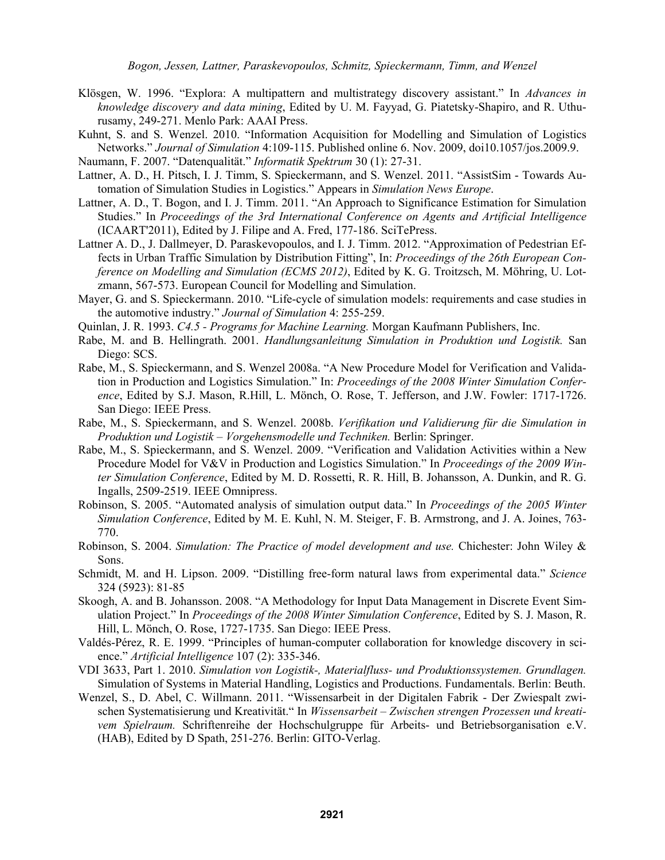- Klösgen, W. 1996. "Explora: A multipattern and multistrategy discovery assistant." In *Advances in knowledge discovery and data mining*, Edited by U. M. Fayyad, G. Piatetsky-Shapiro, and R. Uthurusamy, 249-271. Menlo Park: AAAI Press.
- Kuhnt, S. and S. Wenzel. 2010. "Information Acquisition for Modelling and Simulation of Logistics Networks." *Journal of Simulation* 4:109-115. Published online 6. Nov. 2009, doi10.1057/jos.2009.9.

Naumann, F. 2007. "Datenqualität." *Informatik Spektrum* 30 (1): 27-31.

- Lattner, A. D., H. Pitsch, I. J. Timm, S. Spieckermann, and S. Wenzel. 2011. "AssistSim Towards Automation of Simulation Studies in Logistics." Appears in *Simulation News Europe*.
- Lattner, A. D., T. Bogon, and I. J. Timm. 2011. "An Approach to Significance Estimation for Simulation Studies." In *Proceedings of the 3rd International Conference on Agents and Artificial Intelligence* (ICAART'2011), Edited by J. Filipe and A. Fred, 177-186. SciTePress.
- Lattner A. D., J. Dallmeyer, D. Paraskevopoulos, and I. J. Timm. 2012. "Approximation of Pedestrian Effects in Urban Traffic Simulation by Distribution Fitting", In: *Proceedings of the 26th European Conference on Modelling and Simulation (ECMS 2012)*, Edited by K. G. Troitzsch, M. Möhring, U. Lotzmann, 567-573. European Council for Modelling and Simulation.
- Mayer, G. and S. Spieckermann. 2010. "Life-cycle of simulation models: requirements and case studies in the automotive industry." *Journal of Simulation* 4: 255-259.
- Quinlan, J. R. 1993. *C4.5 Programs for Machine Learning.* Morgan Kaufmann Publishers, Inc.
- Rabe, M. and B. Hellingrath. 2001. *Handlungsanleitung Simulation in Produktion und Logistik.* San Diego: SCS.
- Rabe, M., S. Spieckermann, and S. Wenzel 2008a. "A New Procedure Model for Verification and Validation in Production and Logistics Simulation." In: *Proceedings of the 2008 Winter Simulation Conference*, Edited by S.J. Mason, R.Hill, L. Mönch, O. Rose, T. Jefferson, and J.W. Fowler: 1717-1726. San Diego: IEEE Press.
- Rabe, M., S. Spieckermann, and S. Wenzel. 2008b. *Verifikation und Validierung für die Simulation in Produktion und Logistik – Vorgehensmodelle und Techniken.* Berlin: Springer.
- Rabe, M., S. Spieckermann, and S. Wenzel. 2009. "Verification and Validation Activities within a New Procedure Model for V&V in Production and Logistics Simulation." In *Proceedings of the 2009 Winter Simulation Conference*, Edited by M. D. Rossetti, R. R. Hill, B. Johansson, A. Dunkin, and R. G. Ingalls, 2509-2519. IEEE Omnipress.
- Robinson, S. 2005. "Automated analysis of simulation output data." In *Proceedings of the 2005 Winter Simulation Conference*, Edited by M. E. Kuhl, N. M. Steiger, F. B. Armstrong, and J. A. Joines, 763- 770.
- Robinson, S. 2004. *Simulation: The Practice of model development and use.* Chichester: John Wiley & Sons.
- Schmidt, M. and H. Lipson. 2009. "Distilling free-form natural laws from experimental data." *Science* 324 (5923): 81-85
- Skoogh, A. and B. Johansson. 2008. "A Methodology for Input Data Management in Discrete Event Simulation Project." In *Proceedings of the 2008 Winter Simulation Conference*, Edited by S. J. Mason, R. Hill, L. Mönch, O. Rose, 1727-1735. San Diego: IEEE Press.
- Valdés-Pérez, R. E. 1999. "Principles of human-computer collaboration for knowledge discovery in science." *Artificial Intelligence* 107 (2): 335-346.
- VDI 3633, Part 1. 2010. *Simulation von Logistik-, Materialfluss- und Produktionssystemen. Grundlagen.* Simulation of Systems in Material Handling, Logistics and Productions. Fundamentals. Berlin: Beuth.
- Wenzel, S., D. Abel, C. Willmann. 2011. "Wissensarbeit in der Digitalen Fabrik Der Zwiespalt zwischen Systematisierung und Kreativität." In *Wissensarbeit – Zwischen strengen Prozessen und kreativem Spielraum.* Schriftenreihe der Hochschulgruppe für Arbeits- und Betriebsorganisation e.V. (HAB), Edited by D Spath, 251-276. Berlin: GITO-Verlag.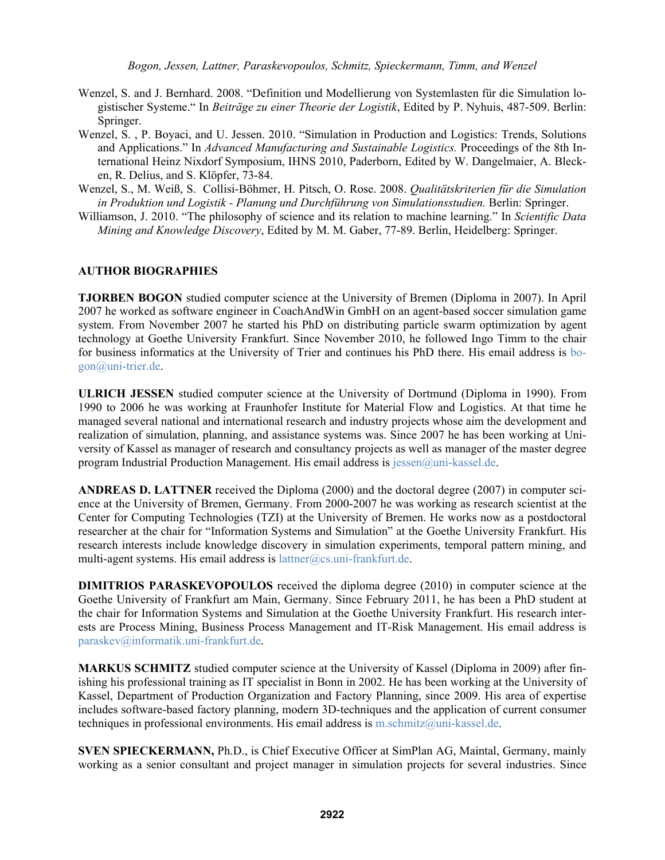- Wenzel, S. and J. Bernhard. 2008. "Definition und Modellierung von Systemlasten für die Simulation logistischer Systeme." In *Beiträge zu einer Theorie der Logistik*, Edited by P. Nyhuis, 487-509. Berlin: Springer.
- Wenzel, S. , P. Boyaci, and U. Jessen. 2010. "Simulation in Production and Logistics: Trends, Solutions and Applications." In *Advanced Manufacturing and Sustainable Logistics.* Proceedings of the 8th International Heinz Nixdorf Symposium, IHNS 2010, Paderborn, Edited by W. Dangelmaier, A. Blecken, R. Delius, and S. Klöpfer, 73-84.
- Wenzel, S., M. Weiß, S. Collisi-Böhmer, H. Pitsch, O. Rose. 2008. *Qualitätskriterien für die Simulation in Produktion und Logistik - Planung und Durchführung von Simulationsstudien.* Berlin: Springer.
- Williamson, J. 2010. "The philosophy of science and its relation to machine learning." In *Scientific Data Mining and Knowledge Discovery*, Edited by M. M. Gaber, 77-89. Berlin, Heidelberg: Springer.

# **AUTHOR BIOGRAPHIES**

**TJORBEN BOGON** studied computer science at the University of Bremen (Diploma in 2007). In April 2007 he worked as software engineer in CoachAndWin GmbH on an agent-based soccer simulation game system. From November 2007 he started his PhD on distributing particle swarm optimization by agent technology at Goethe University Frankfurt. Since November 2010, he followed Ingo Timm to the chair for business informatics at the University of Trier and continues his PhD there. His email address is bogon@uni-trier.de.

**ULRICH JESSEN** studied computer science at the University of Dortmund (Diploma in 1990). From 1990 to 2006 he was working at Fraunhofer Institute for Material Flow and Logistics. At that time he managed several national and international research and industry projects whose aim the development and realization of simulation, planning, and assistance systems was. Since 2007 he has been working at University of Kassel as manager of research and consultancy projects as well as manager of the master degree program Industrial Production Management. His email address is jessen@uni-kassel.de.

**ANDREAS D. LATTNER** received the Diploma (2000) and the doctoral degree (2007) in computer science at the University of Bremen, Germany. From 2000-2007 he was working as research scientist at the Center for Computing Technologies (TZI) at the University of Bremen. He works now as a postdoctoral researcher at the chair for "Information Systems and Simulation" at the Goethe University Frankfurt. His research interests include knowledge discovery in simulation experiments, temporal pattern mining, and multi-agent systems. His email address is lattner@cs.uni-frankfurt.de.

**DIMITRIOS PARASKEVOPOULOS** received the diploma degree (2010) in computer science at the Goethe University of Frankfurt am Main, Germany. Since February 2011, he has been a PhD student at the chair for Information Systems and Simulation at the Goethe University Frankfurt. His research interests are Process Mining, Business Process Management and IT-Risk Management. His email address is paraskev@informatik.uni-frankfurt.de.

**MARKUS SCHMITZ** studied computer science at the University of Kassel (Diploma in 2009) after finishing his professional training as IT specialist in Bonn in 2002. He has been working at the University of Kassel, Department of Production Organization and Factory Planning, since 2009. His area of expertise includes software-based factory planning, modern 3D-techniques and the application of current consumer techniques in professional environments. His email address is  $m$ , schmitz $@$ uni-kassel.de.

**SVEN SPIECKERMANN,** Ph.D., is Chief Executive Officer at SimPlan AG, Maintal, Germany, mainly working as a senior consultant and project manager in simulation projects for several industries. Since